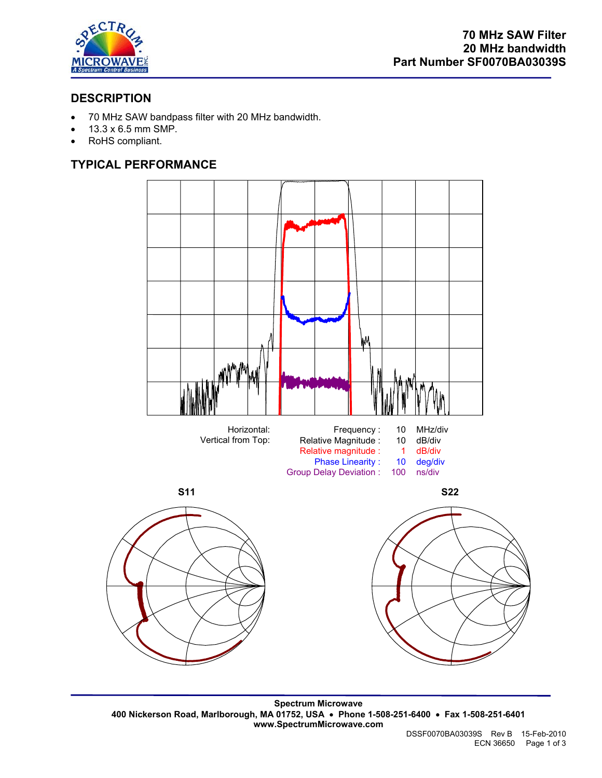

# **DESCRIPTION**

- 70 MHz SAW bandpass filter with 20 MHz bandwidth.
- 13.3 x 6.5 mm SMP.
- RoHS compliant.

# **TYPICAL PERFORMANCE**



**Spectrum Microwave 400 Nickerson Road, Marlborough, MA 01752, USA** • **Phone 1-508-251-6400** • **Fax 1-508-251-6401 www.SpectrumMicrowave.com**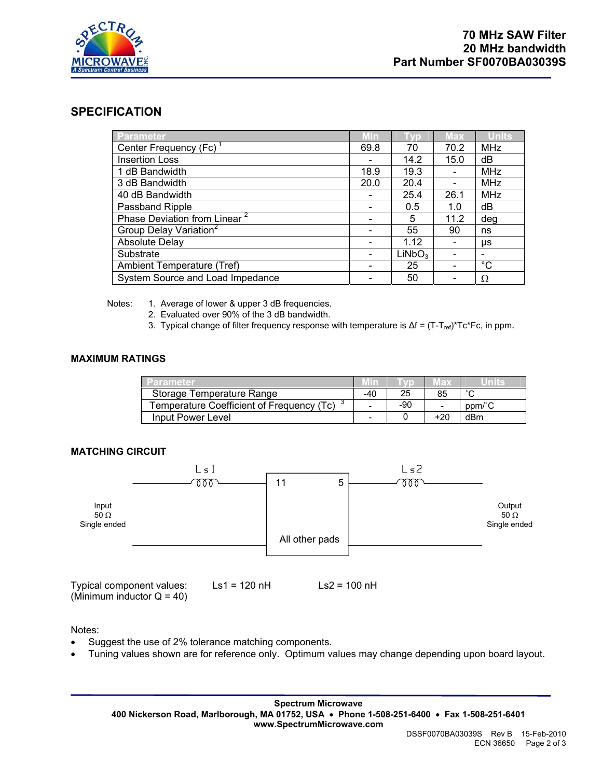

## **SPECIFICATION**

| <b>Parameter</b>                         | <b>Min</b> | <b>TVD</b>         | <b>Max</b>                   | <b>Units</b> |
|------------------------------------------|------------|--------------------|------------------------------|--------------|
| Center Frequency (Fc)                    | 69.8       | 70                 | 70.2                         | MHz          |
| <b>Insertion Loss</b>                    |            | 14.2               | 15.0                         | dB           |
| 1 dB Bandwidth                           | 18.9       | 19.3               |                              | <b>MHz</b>   |
| 3 dB Bandwidth                           | 20.0       | 20.4               |                              | MHz          |
| 40 dB Bandwidth                          |            | 25.4               | 26.1                         | MHz          |
| Passband Ripple                          |            | 0.5                | 1.0                          | dB           |
| Phase Deviation from Linear <sup>2</sup> |            | 5                  | 11.2                         | deg          |
| Group Delay Variation <sup>2</sup>       |            | 55                 | 90                           | ns           |
| <b>Absolute Delay</b>                    |            | 1.12               | $\qquad \qquad \blacksquare$ | μs           |
| Substrate                                |            | LiNbO <sub>3</sub> |                              |              |
| Ambient Temperature (Tref)               |            | 25                 |                              | $^{\circ}C$  |
| System Source and Load Impedance         |            | 50                 |                              | Ω            |

Notes: 1. Average of lower & upper 3 dB frequencies.

- 2. Evaluated over 90% of the 3 dB bandwidth.
- 3. Typical change of filter frequency response with temperature is  $\Delta f = (T-T_{ref})^*Tc^*Fc$ , in ppm.

## **MAXIMUM RATINGS**

| Parameter                                 |     |       | 日光                       |        |
|-------------------------------------------|-----|-------|--------------------------|--------|
| Storage Temperature Range                 | -40 | 25    | 85                       |        |
| Temperature Coefficient of Frequency (Tc) | -   | $-90$ | $\overline{\phantom{a}}$ | ppm/°C |
| Input Power Level                         | -   |       | $+20$                    | dBm    |

## **MATCHING CIRCUIT**



Typical component values: Ls1 = 120 nH Ls2 = 100 nH (Minimum inductor  $Q = 40$ )

Notes:

- Suggest the use of 2% tolerance matching components.
- Tuning values shown are for reference only. Optimum values may change depending upon board layout.